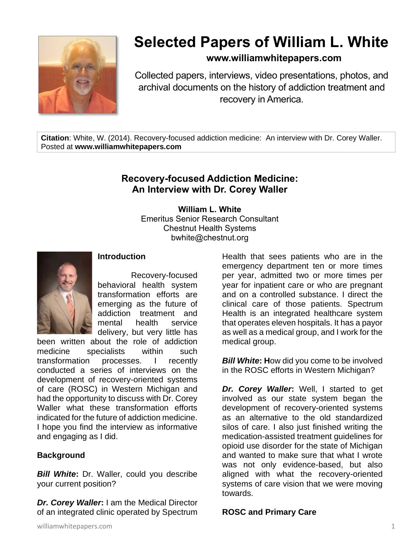

# **Selected Papers of William L. White**

# **www.williamwhitepapers.com**

Collected papers, interviews, video presentations, photos, and archival documents on the history of addiction treatment and recovery in America.

**Citation**: White, W. (2014). Recovery-focused addiction medicine: An interview with Dr. Corey Waller. Posted at **www.williamwhitepapers.com**

# **Recovery-focused Addiction Medicine: An Interview with Dr. Corey Waller**

**William L. White** Emeritus Senior Research Consultant Chestnut Health Systems bwhite@chestnut.org



### **Introduction**

Recovery-focused behavioral health system transformation efforts are emerging as the future of addiction treatment and mental health service delivery, but very little has

been written about the role of addiction medicine specialists within such transformation processes. I recently conducted a series of interviews on the development of recovery-oriented systems of care (ROSC) in Western Michigan and had the opportunity to discuss with Dr. Corey Waller what these transformation efforts indicated for the future of addiction medicine. I hope you find the interview as informative and engaging as I did.

## **Background**

*Bill White***:** Dr. Waller, could you describe your current position?

*Dr. Corey Waller***:** I am the Medical Director of an integrated clinic operated by Spectrum Health that sees patients who are in the emergency department ten or more times per year, admitted two or more times per year for inpatient care or who are pregnant and on a controlled substance. I direct the clinical care of those patients. Spectrum Health is an integrated healthcare system that operates eleven hospitals. It has a payor as well as a medical group, and I work for the medical group.

*Bill White:* How did you come to be involved in the ROSC efforts in Western Michigan?

*Dr. Corey Waller***:** Well, I started to get involved as our state system began the development of recovery-oriented systems as an alternative to the old standardized silos of care. I also just finished writing the medication-assisted treatment guidelines for opioid use disorder for the state of Michigan and wanted to make sure that what I wrote was not only evidence-based, but also aligned with what the recovery-oriented systems of care vision that we were moving towards.

### **ROSC and Primary Care**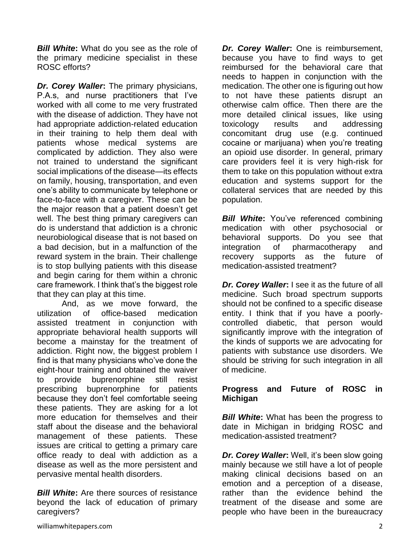*Bill White***:** What do you see as the role of the primary medicine specialist in these ROSC efforts?

*Dr. Corey Waller***:** The primary physicians, P.A.s, and nurse practitioners that I've worked with all come to me very frustrated with the disease of addiction. They have not had appropriate addiction-related education in their training to help them deal with patients whose medical systems are complicated by addiction. They also were not trained to understand the significant social implications of the disease—its effects on family, housing, transportation, and even one's ability to communicate by telephone or face-to-face with a caregiver. These can be the major reason that a patient doesn't get well. The best thing primary caregivers can do is understand that addiction is a chronic neurobiological disease that is not based on a bad decision, but in a malfunction of the reward system in the brain. Their challenge is to stop bullying patients with this disease and begin caring for them within a chronic care framework. I think that's the biggest role that they can play at this time.

And, as we move forward, the utilization of office-based medication assisted treatment in conjunction with appropriate behavioral health supports will become a mainstay for the treatment of addiction. Right now, the biggest problem I find is that many physicians who've done the eight-hour training and obtained the waiver to provide buprenorphine still resist prescribing buprenorphine for patients because they don't feel comfortable seeing these patients. They are asking for a lot more education for themselves and their staff about the disease and the behavioral management of these patients. These issues are critical to getting a primary care office ready to deal with addiction as a disease as well as the more persistent and pervasive mental health disorders.

*Bill White***:** Are there sources of resistance beyond the lack of education of primary caregivers?

*Dr. Corey Waller***:** One is reimbursement, because you have to find ways to get reimbursed for the behavioral care that needs to happen in conjunction with the medication. The other one is figuring out how to not have these patients disrupt an otherwise calm office. Then there are the more detailed clinical issues, like using toxicology results and addressing concomitant drug use (e.g. continued cocaine or marijuana) when you're treating an opioid use disorder. In general, primary care providers feel it is very high-risk for them to take on this population without extra education and systems support for the collateral services that are needed by this population.

*Bill White***:** You've referenced combining medication with other psychosocial or behavioral supports. Do you see that integration of pharmacotherapy and recovery supports as the future of medication-assisted treatment?

*Dr. Corey Waller***:** I see it as the future of all medicine. Such broad spectrum supports should not be confined to a specific disease entity. I think that if you have a poorlycontrolled diabetic, that person would significantly improve with the integration of the kinds of supports we are advocating for patients with substance use disorders. We should be striving for such integration in all of medicine.

#### **Progress and Future of ROSC in Michigan**

*Bill White:* What has been the progress to date in Michigan in bridging ROSC and medication-assisted treatment?

*Dr. Corey Waller***:** Well, it's been slow going mainly because we still have a lot of people making clinical decisions based on an emotion and a perception of a disease, rather than the evidence behind the treatment of the disease and some are people who have been in the bureaucracy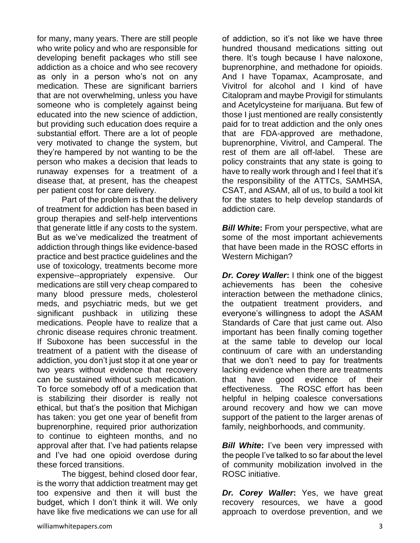for many, many years. There are still people who write policy and who are responsible for developing benefit packages who still see addiction as a choice and who see recovery as only in a person who's not on any medication. These are significant barriers that are not overwhelming, unless you have someone who is completely against being educated into the new science of addiction, but providing such education does require a substantial effort. There are a lot of people very motivated to change the system, but they're hampered by not wanting to be the person who makes a decision that leads to runaway expenses for a treatment of a disease that, at present, has the cheapest per patient cost for care delivery.

Part of the problem is that the delivery of treatment for addiction has been based in group therapies and self-help interventions that generate little if any costs to the system. But as we've medicalized the treatment of addiction through things like evidence-based practice and best practice guidelines and the use of toxicology, treatments become more expensive--appropriately expensive. Our medications are still very cheap compared to many blood pressure meds, cholesterol meds, and psychiatric meds, but we get significant pushback in utilizing these medications. People have to realize that a chronic disease requires chronic treatment. If Suboxone has been successful in the treatment of a patient with the disease of addiction, you don't just stop it at one year or two years without evidence that recovery can be sustained without such medication. To force somebody off of a medication that is stabilizing their disorder is really not ethical, but that's the position that Michigan has taken: you get one year of benefit from buprenorphine, required prior authorization to continue to eighteen months, and no approval after that. I've had patients relapse and I've had one opioid overdose during these forced transitions.

The biggest, behind closed door fear, is the worry that addiction treatment may get too expensive and then it will bust the budget, which I don't think it will. We only have like five medications we can use for all of addiction, so it's not like we have three hundred thousand medications sitting out there. It's tough because I have naloxone, buprenorphine, and methadone for opioids. And I have Topamax, Acamprosate, and Vivitrol for alcohol and I kind of have Citalopram and maybe Provigil for stimulants and Acetylcysteine for marijuana. But few of those I just mentioned are really consistently paid for to treat addiction and the only ones that are FDA-approved are methadone, buprenorphine, Vivitrol, and Camperal. The rest of them are all off-label. These are policy constraints that any state is going to have to really work through and I feel that it's the responsibility of the ATTCs, SAMHSA, CSAT, and ASAM, all of us, to build a tool kit for the states to help develop standards of addiction care.

*Bill White:* From your perspective, what are some of the most important achievements that have been made in the ROSC efforts in Western Michigan?

*Dr. Corey Waller***:** I think one of the biggest achievements has been the cohesive interaction between the methadone clinics, the outpatient treatment providers, and everyone's willingness to adopt the ASAM Standards of Care that just came out. Also important has been finally coming together at the same table to develop our local continuum of care with an understanding that we don't need to pay for treatments lacking evidence when there are treatments that have good evidence of their effectiveness. The ROSC effort has been helpful in helping coalesce conversations around recovery and how we can move support of the patient to the larger arenas of family, neighborhoods, and community.

*Bill White:* I've been very impressed with the people I've talked to so far about the level of community mobilization involved in the ROSC initiative.

*Dr. Corey Waller***:** Yes, we have great recovery resources, we have a good approach to overdose prevention, and we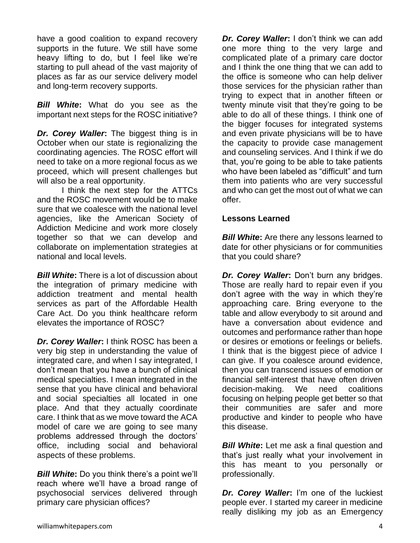have a good coalition to expand recovery supports in the future. We still have some heavy lifting to do, but I feel like we're starting to pull ahead of the vast majority of places as far as our service delivery model and long-term recovery supports.

*Bill White***:** What do you see as the important next steps for the ROSC initiative?

*Dr. Corey Waller***:** The biggest thing is in October when our state is regionalizing the coordinating agencies. The ROSC effort will need to take on a more regional focus as we proceed, which will present challenges but will also be a real opportunity.

I think the next step for the ATTCs and the ROSC movement would be to make sure that we coalesce with the national level agencies, like the American Society of Addiction Medicine and work more closely together so that we can develop and collaborate on implementation strategies at national and local levels.

*Bill White***:** There is a lot of discussion about the integration of primary medicine with addiction treatment and mental health services as part of the Affordable Health Care Act. Do you think healthcare reform elevates the importance of ROSC?

*Dr. Corey Waller***:** I think ROSC has been a very big step in understanding the value of integrated care, and when I say integrated, I don't mean that you have a bunch of clinical medical specialties. I mean integrated in the sense that you have clinical and behavioral and social specialties all located in one place. And that they actually coordinate care. I think that as we move toward the ACA model of care we are going to see many problems addressed through the doctors' office, including social and behavioral aspects of these problems.

*Bill White***:** Do you think there's a point we'll reach where we'll have a broad range of psychosocial services delivered through primary care physician offices?

*Dr. Corey Waller***:** I don't think we can add one more thing to the very large and complicated plate of a primary care doctor and I think the one thing that we can add to the office is someone who can help deliver those services for the physician rather than trying to expect that in another fifteen or twenty minute visit that they're going to be able to do all of these things. I think one of the bigger focuses for integrated systems and even private physicians will be to have the capacity to provide case management and counseling services. And I think if we do that, you're going to be able to take patients who have been labeled as "difficult" and turn them into patients who are very successful and who can get the most out of what we can offer.

#### **Lessons Learned**

**Bill White:** Are there any lessons learned to date for other physicians or for communities that you could share?

*Dr. Corey Waller***:** Don't burn any bridges. Those are really hard to repair even if you don't agree with the way in which they're approaching care. Bring everyone to the table and allow everybody to sit around and have a conversation about evidence and outcomes and performance rather than hope or desires or emotions or feelings or beliefs. I think that is the biggest piece of advice I can give. If you coalesce around evidence, then you can transcend issues of emotion or financial self-interest that have often driven decision-making. We need coalitions focusing on helping people get better so that their communities are safer and more productive and kinder to people who have this disease.

*Bill White*: Let me ask a final question and that's just really what your involvement in this has meant to you personally or professionally.

*Dr. Corey Waller***:** I'm one of the luckiest people ever. I started my career in medicine really disliking my job as an Emergency